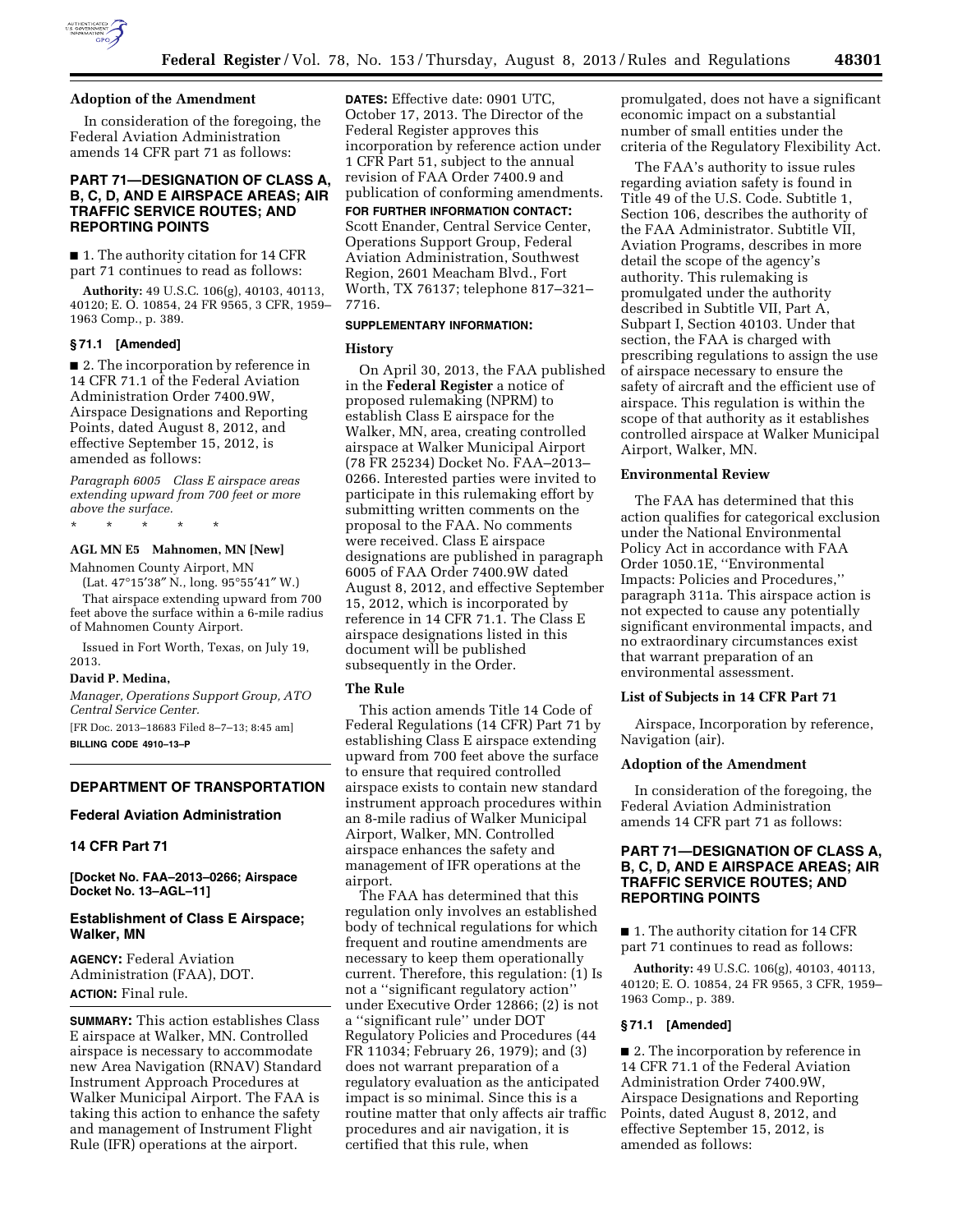

### **Adoption of the Amendment**

In consideration of the foregoing, the Federal Aviation Administration amends 14 CFR part 71 as follows:

# **PART 71—DESIGNATION OF CLASS A, B, C, D, AND E AIRSPACE AREAS; AIR TRAFFIC SERVICE ROUTES; AND REPORTING POINTS**

■ 1. The authority citation for 14 CFR part 71 continues to read as follows:

**Authority:** 49 U.S.C. 106(g), 40103, 40113, 40120; E. O. 10854, 24 FR 9565, 3 CFR, 1959– 1963 Comp., p. 389.

### **§ 71.1 [Amended]**

■ 2. The incorporation by reference in 14 CFR 71.1 of the Federal Aviation Administration Order 7400.9W, Airspace Designations and Reporting Points, dated August 8, 2012, and effective September 15, 2012, is amended as follows:

*Paragraph 6005 Class E airspace areas extending upward from 700 feet or more above the surface.* 

\* \* \* \* \*

## **AGL MN E5 Mahnomen, MN [New]**

Mahnomen County Airport, MN (Lat. 47°15′38″ N., long. 95°55′41″ W.)

That airspace extending upward from 700 feet above the surface within a 6-mile radius of Mahnomen County Airport.

Issued in Fort Worth, Texas, on July 19, 2013.

## **David P. Medina,**

*Manager, Operations Support Group, ATO Central Service Center.* 

[FR Doc. 2013–18683 Filed 8–7–13; 8:45 am] **BILLING CODE 4910–13–P** 

# **DEPARTMENT OF TRANSPORTATION**

#### **Federal Aviation Administration**

# **14 CFR Part 71**

**[Docket No. FAA–2013–0266; Airspace Docket No. 13–AGL–11]** 

## **Establishment of Class E Airspace; Walker, MN**

**AGENCY:** Federal Aviation Administration (FAA), DOT. **ACTION:** Final rule.

**SUMMARY:** This action establishes Class E airspace at Walker, MN. Controlled airspace is necessary to accommodate new Area Navigation (RNAV) Standard Instrument Approach Procedures at Walker Municipal Airport. The FAA is taking this action to enhance the safety and management of Instrument Flight Rule (IFR) operations at the airport.

**DATES:** Effective date: 0901 UTC, October 17, 2013. The Director of the Federal Register approves this incorporation by reference action under 1 CFR Part 51, subject to the annual revision of FAA Order 7400.9 and publication of conforming amendments.

# **FOR FURTHER INFORMATION CONTACT:**

Scott Enander, Central Service Center, Operations Support Group, Federal Aviation Administration, Southwest Region, 2601 Meacham Blvd., Fort Worth, TX 76137; telephone 817–321– 7716.

### **SUPPLEMENTARY INFORMATION:**

#### **History**

On April 30, 2013, the FAA published in the **Federal Register** a notice of proposed rulemaking (NPRM) to establish Class E airspace for the Walker, MN, area, creating controlled airspace at Walker Municipal Airport (78 FR 25234) Docket No. FAA–2013– 0266. Interested parties were invited to participate in this rulemaking effort by submitting written comments on the proposal to the FAA. No comments were received. Class E airspace designations are published in paragraph 6005 of FAA Order 7400.9W dated August 8, 2012, and effective September 15, 2012, which is incorporated by reference in 14 CFR 71.1. The Class E airspace designations listed in this document will be published subsequently in the Order.

### **The Rule**

This action amends Title 14 Code of Federal Regulations (14 CFR) Part 71 by establishing Class E airspace extending upward from 700 feet above the surface to ensure that required controlled airspace exists to contain new standard instrument approach procedures within an 8-mile radius of Walker Municipal Airport, Walker, MN. Controlled airspace enhances the safety and management of IFR operations at the airport.

The FAA has determined that this regulation only involves an established body of technical regulations for which frequent and routine amendments are necessary to keep them operationally current. Therefore, this regulation: (1) Is not a ''significant regulatory action'' under Executive Order 12866; (2) is not a ''significant rule'' under DOT Regulatory Policies and Procedures (44 FR 11034; February 26, 1979); and (3) does not warrant preparation of a regulatory evaluation as the anticipated impact is so minimal. Since this is a routine matter that only affects air traffic procedures and air navigation, it is certified that this rule, when

promulgated, does not have a significant economic impact on a substantial number of small entities under the criteria of the Regulatory Flexibility Act.

The FAA's authority to issue rules regarding aviation safety is found in Title 49 of the U.S. Code. Subtitle 1, Section 106, describes the authority of the FAA Administrator. Subtitle VII, Aviation Programs, describes in more detail the scope of the agency's authority. This rulemaking is promulgated under the authority described in Subtitle VII, Part A, Subpart I, Section 40103. Under that section, the FAA is charged with prescribing regulations to assign the use of airspace necessary to ensure the safety of aircraft and the efficient use of airspace. This regulation is within the scope of that authority as it establishes controlled airspace at Walker Municipal Airport, Walker, MN.

#### **Environmental Review**

The FAA has determined that this action qualifies for categorical exclusion under the National Environmental Policy Act in accordance with FAA Order 1050.1E, ''Environmental Impacts: Policies and Procedures,'' paragraph 311a. This airspace action is not expected to cause any potentially significant environmental impacts, and no extraordinary circumstances exist that warrant preparation of an environmental assessment.

## **List of Subjects in 14 CFR Part 71**

Airspace, Incorporation by reference, Navigation (air).

### **Adoption of the Amendment**

In consideration of the foregoing, the Federal Aviation Administration amends 14 CFR part 71 as follows:

# **PART 71—DESIGNATION OF CLASS A, B, C, D, AND E AIRSPACE AREAS; AIR TRAFFIC SERVICE ROUTES; AND REPORTING POINTS**

■ 1. The authority citation for 14 CFR part 71 continues to read as follows:

**Authority:** 49 U.S.C. 106(g), 40103, 40113, 40120; E. O. 10854, 24 FR 9565, 3 CFR, 1959– 1963 Comp., p. 389.

#### **§ 71.1 [Amended]**

■ 2. The incorporation by reference in 14 CFR 71.1 of the Federal Aviation Administration Order 7400.9W, Airspace Designations and Reporting Points, dated August 8, 2012, and effective September 15, 2012, is amended as follows: